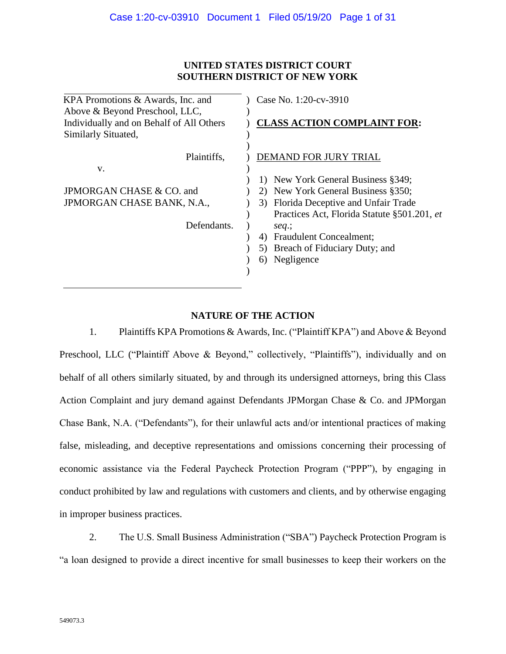## **UNITED STATES DISTRICT COURT SOUTHERN DISTRICT OF NEW YORK**

| KPA Promotions & Awards, Inc. and                                                                 | Case No. 1:20-cv-3910                                                                   |  |  |  |
|---------------------------------------------------------------------------------------------------|-----------------------------------------------------------------------------------------|--|--|--|
| Above & Beyond Preschool, LLC,<br>Individually and on Behalf of All Others<br>Similarly Situated, | <b>CLASS ACTION COMPLAINT FOR:</b>                                                      |  |  |  |
| Plaintiffs,                                                                                       | DEMAND FOR JURY TRIAL                                                                   |  |  |  |
| V.                                                                                                | 1) New York General Business §349;                                                      |  |  |  |
| JPMORGAN CHASE & CO. and                                                                          | New York General Business §350;<br>2)                                                   |  |  |  |
| JPMORGAN CHASE BANK, N.A.,                                                                        | Florida Deceptive and Unfair Trade<br>3)<br>Practices Act, Florida Statute §501.201, et |  |  |  |
| Defendants.                                                                                       | $seq$ ;                                                                                 |  |  |  |
|                                                                                                   | <b>Fraudulent Concealment;</b><br>4)                                                    |  |  |  |
|                                                                                                   | Breach of Fiduciary Duty; and<br>5)                                                     |  |  |  |
|                                                                                                   | Negligence<br>6)                                                                        |  |  |  |
|                                                                                                   |                                                                                         |  |  |  |

# **NATURE OF THE ACTION**

1. Plaintiffs KPA Promotions & Awards, Inc. ("Plaintiff KPA") and Above & Beyond Preschool, LLC ("Plaintiff Above & Beyond," collectively, "Plaintiffs"), individually and on behalf of all others similarly situated, by and through its undersigned attorneys, bring this Class Action Complaint and jury demand against Defendants JPMorgan Chase & Co. and JPMorgan Chase Bank, N.A. ("Defendants"), for their unlawful acts and/or intentional practices of making false, misleading, and deceptive representations and omissions concerning their processing of economic assistance via the Federal Paycheck Protection Program ("PPP"), by engaging in conduct prohibited by law and regulations with customers and clients, and by otherwise engaging in improper business practices.

2. The U.S. Small Business Administration ("SBA") Paycheck Protection Program is "a loan designed to provide a direct incentive for small businesses to keep their workers on the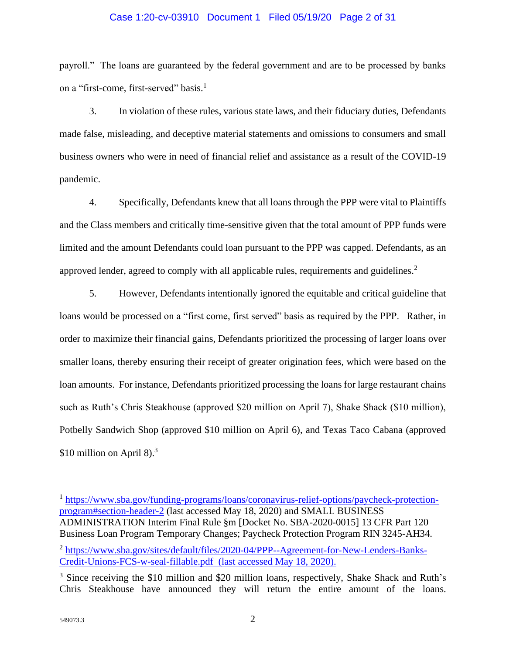#### Case 1:20-cv-03910 Document 1 Filed 05/19/20 Page 2 of 31

payroll." The loans are guaranteed by the federal government and are to be processed by banks on a "first-come, first-served" basis.<sup>1</sup>

3. In violation of these rules, various state laws, and their fiduciary duties, Defendants made false, misleading, and deceptive material statements and omissions to consumers and small business owners who were in need of financial relief and assistance as a result of the COVID-19 pandemic.

4. Specifically, Defendants knew that all loans through the PPP were vital to Plaintiffs and the Class members and critically time-sensitive given that the total amount of PPP funds were limited and the amount Defendants could loan pursuant to the PPP was capped. Defendants, as an approved lender, agreed to comply with all applicable rules, requirements and guidelines.<sup>2</sup>

5. However, Defendants intentionally ignored the equitable and critical guideline that loans would be processed on a "first come, first served" basis as required by the PPP. Rather, in order to maximize their financial gains, Defendants prioritized the processing of larger loans over smaller loans, thereby ensuring their receipt of greater origination fees, which were based on the loan amounts. For instance, Defendants prioritized processing the loans for large restaurant chains such as Ruth's Chris Steakhouse (approved \$20 million on April 7), Shake Shack (\$10 million), Potbelly Sandwich Shop (approved \$10 million on April 6), and Texas Taco Cabana (approved \$10 million on April 8). $3$ 

<sup>1</sup> [https://www.sba.gov/funding-programs/loans/coronavirus-relief-options/paycheck-protection](https://www.sba.gov/funding-programs/loans/coronavirus-relief-options/paycheck-protection-program#section-header-2)[program#section-header-2](https://www.sba.gov/funding-programs/loans/coronavirus-relief-options/paycheck-protection-program#section-header-2) (last accessed May 18, 2020) and SMALL BUSINESS ADMINISTRATION Interim Final Rule §m [Docket No. SBA-2020-0015] 13 CFR Part 120 Business Loan Program Temporary Changes; Paycheck Protection Program RIN 3245-AH34. <sup>2</sup> [https://www.sba.gov/sites/default/files/2020-04/PPP--Agreement-for-New-Lenders-Banks-](https://protect-us.mimecast.com/s/9EPICqxVz3uB1GACZ-81W?domain=sba.gov)[Credit-Unions-FCS-w-seal-fillable.pdf](https://protect-us.mimecast.com/s/9EPICqxVz3uB1GACZ-81W?domain=sba.gov) (last accessed May 18, 2020).

<sup>&</sup>lt;sup>3</sup> Since receiving the \$10 million and \$20 million loans, respectively, Shake Shack and Ruth's Chris Steakhouse have announced they will return the entire amount of the loans.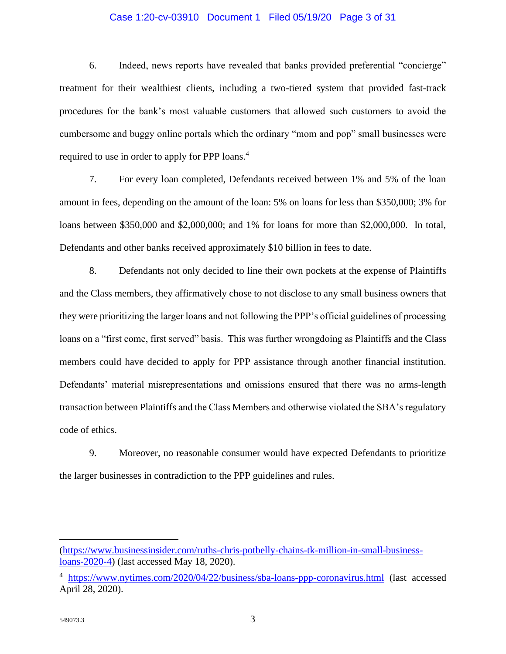#### Case 1:20-cv-03910 Document 1 Filed 05/19/20 Page 3 of 31

6. Indeed, news reports have revealed that banks provided preferential "concierge" treatment for their wealthiest clients, including a two-tiered system that provided fast-track procedures for the bank's most valuable customers that allowed such customers to avoid the cumbersome and buggy online portals which the ordinary "mom and pop" small businesses were required to use in order to apply for PPP loans.<sup>4</sup>

7. For every loan completed, Defendants received between 1% and 5% of the loan amount in fees, depending on the amount of the loan: 5% on loans for less than \$350,000; 3% for loans between \$350,000 and \$2,000,000; and 1% for loans for more than \$2,000,000. In total, Defendants and other banks received approximately \$10 billion in fees to date.

8. Defendants not only decided to line their own pockets at the expense of Plaintiffs and the Class members, they affirmatively chose to not disclose to any small business owners that they were prioritizing the larger loans and not following the PPP's official guidelines of processing loans on a "first come, first served" basis. This was further wrongdoing as Plaintiffs and the Class members could have decided to apply for PPP assistance through another financial institution. Defendants' material misrepresentations and omissions ensured that there was no arms-length transaction between Plaintiffs and the Class Members and otherwise violated the SBA's regulatory code of ethics.

9. Moreover, no reasonable consumer would have expected Defendants to prioritize the larger businesses in contradiction to the PPP guidelines and rules.

[<sup>\(</sup>https://www.businessinsider.com/ruths-chris-potbelly-chains-tk-million-in-small-business](https://www.businessinsider.com/ruths-chris-potbelly-chains-tk-million-in-small-business-loans-2020-4)[loans-2020-4\)](https://www.businessinsider.com/ruths-chris-potbelly-chains-tk-million-in-small-business-loans-2020-4) (last accessed May 18, 2020).

<sup>&</sup>lt;sup>4</sup> <https://www.nytimes.com/2020/04/22/business/sba-loans-ppp-coronavirus.html> (last accessed April 28, 2020).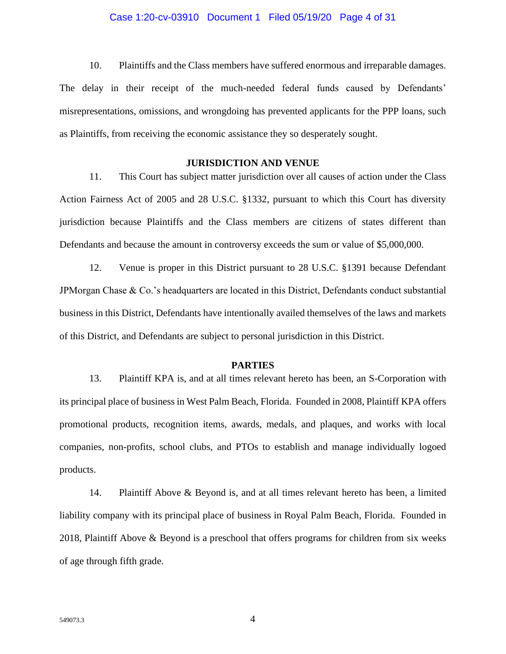#### Case 1:20-cv-03910 Document 1 Filed 05/19/20 Page 4 of 31

10. Plaintiffs and the Class members have suffered enormous and irreparable damages. The delay in their receipt of the much-needed federal funds caused by Defendants' misrepresentations, omissions, and wrongdoing has prevented applicants for the PPP loans, such as Plaintiffs, from receiving the economic assistance they so desperately sought.

#### **JURISDICTION AND VENUE**

11. This Court has subject matter jurisdiction over all causes of action under the Class Action Fairness Act of 2005 and 28 U.S.C. §1332, pursuant to which this Court has diversity jurisdiction because Plaintiffs and the Class members are citizens of states different than Defendants and because the amount in controversy exceeds the sum or value of \$5,000,000.

12. Venue is proper in this District pursuant to 28 U.S.C. §1391 because Defendant JPMorgan Chase & Co.'s headquarters are located in this District, Defendants conduct substantial business in this District, Defendants have intentionally availed themselves of the laws and markets of this District, and Defendants are subject to personal jurisdiction in this District.

### **PARTIES**

13. Plaintiff KPA is, and at all times relevant hereto has been, an S-Corporation with its principal place of business in West Palm Beach, Florida. Founded in 2008, Plaintiff KPA offers promotional products, recognition items, awards, medals, and plaques, and works with local companies, non-profits, school clubs, and PTOs to establish and manage individually logoed products.

14. Plaintiff Above & Beyond is, and at all times relevant hereto has been, a limited liability company with its principal place of business in Royal Palm Beach, Florida. Founded in 2018, Plaintiff Above & Beyond is a preschool that offers programs for children from six weeks of age through fifth grade.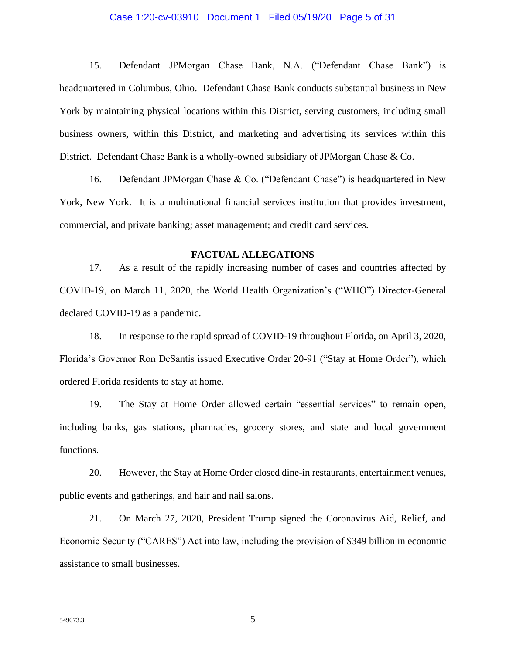#### Case 1:20-cv-03910 Document 1 Filed 05/19/20 Page 5 of 31

15. Defendant JPMorgan Chase Bank, N.A. ("Defendant Chase Bank") is headquartered in Columbus, Ohio. Defendant Chase Bank conducts substantial business in New York by maintaining physical locations within this District, serving customers, including small business owners, within this District, and marketing and advertising its services within this District. Defendant Chase Bank is a wholly-owned subsidiary of JPMorgan Chase & Co.

16. Defendant JPMorgan Chase & Co. ("Defendant Chase") is headquartered in New York, New York. It is a multinational financial services institution that provides investment, commercial, and private banking; asset management; and credit card services.

### **FACTUAL ALLEGATIONS**

17. As a result of the rapidly increasing number of cases and countries affected by COVID-19, on March 11, 2020, the World Health Organization's ("WHO") Director-General declared COVID-19 as a pandemic.

18. In response to the rapid spread of COVID-19 throughout Florida, on April 3, 2020, Florida's Governor Ron DeSantis issued Executive Order 20-91 ("Stay at Home Order"), which ordered Florida residents to stay at home.

19. The Stay at Home Order allowed certain "essential services" to remain open, including banks, gas stations, pharmacies, grocery stores, and state and local government functions.

20. However, the Stay at Home Order closed dine-in restaurants, entertainment venues, public events and gatherings, and hair and nail salons.

21. On March 27, 2020, President Trump signed the Coronavirus Aid, Relief, and Economic Security ("CARES") Act into law, including the provision of \$349 billion in economic assistance to small businesses.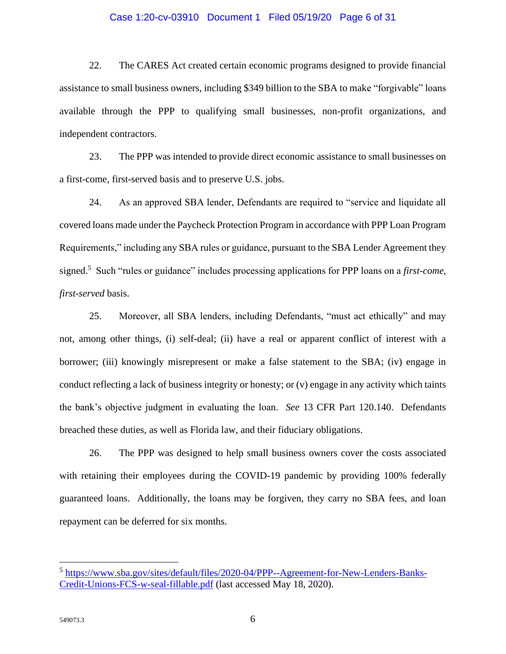#### Case 1:20-cv-03910 Document 1 Filed 05/19/20 Page 6 of 31

22. The CARES Act created certain economic programs designed to provide financial assistance to small business owners, including \$349 billion to the SBA to make "forgivable" loans available through the PPP to qualifying small businesses, non-profit organizations, and independent contractors.

23. The PPP was intended to provide direct economic assistance to small businesses on a first-come, first-served basis and to preserve U.S. jobs.

24. As an approved SBA lender, Defendants are required to "service and liquidate all covered loans made under the Paycheck Protection Program in accordance with PPP Loan Program Requirements," including any SBA rules or guidance, pursuant to the SBA Lender Agreement they signed.<sup>5</sup> Such "rules or guidance" includes processing applications for PPP loans on a *first-come, first-served* basis.

25. Moreover, all SBA lenders, including Defendants, "must act ethically" and may not, among other things, (i) self-deal; (ii) have a real or apparent conflict of interest with a borrower; (iii) knowingly misrepresent or make a false statement to the SBA; (iv) engage in conduct reflecting a lack of business integrity or honesty; or (v) engage in any activity which taints the bank's objective judgment in evaluating the loan. *See* 13 CFR Part 120.140. Defendants breached these duties, as well as Florida law, and their fiduciary obligations.

26. The PPP was designed to help small business owners cover the costs associated with retaining their employees during the COVID-19 pandemic by providing 100% federally guaranteed loans. Additionally, the loans may be forgiven, they carry no SBA fees, and loan repayment can be deferred for six months.

<sup>&</sup>lt;sup>5</sup> [https://www.sba.gov/sites/default/files/2020-04/PPP--Agreement-for-New-Lenders-Banks-](https://www.sba.gov/sites/default/files/2020-04/PPP--Agreement-for-New-Lenders-Banks-Credit-Unions-FCS-w-seal-fillable.pdf)[Credit-Unions-FCS-w-seal-fillable.pdf](https://www.sba.gov/sites/default/files/2020-04/PPP--Agreement-for-New-Lenders-Banks-Credit-Unions-FCS-w-seal-fillable.pdf) (last accessed May 18, 2020).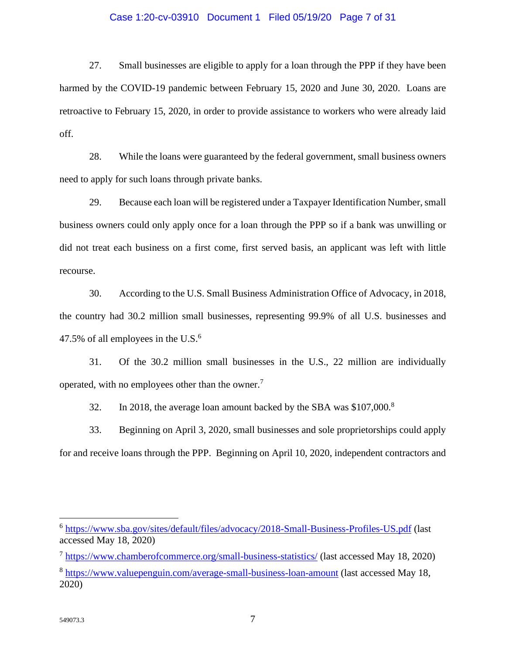#### Case 1:20-cv-03910 Document 1 Filed 05/19/20 Page 7 of 31

27. Small businesses are eligible to apply for a loan through the PPP if they have been harmed by the COVID-19 pandemic between February 15, 2020 and June 30, 2020. Loans are retroactive to February 15, 2020, in order to provide assistance to workers who were already laid off.

28. While the loans were guaranteed by the federal government, small business owners need to apply for such loans through private banks.

29. Because each loan will be registered under a Taxpayer Identification Number, small business owners could only apply once for a loan through the PPP so if a bank was unwilling or did not treat each business on a first come, first served basis, an applicant was left with little recourse.

30. According to the U.S. Small Business Administration Office of Advocacy, in 2018, the country had 30.2 million small businesses, representing 99.9% of all U.S. businesses and 47.5% of all employees in the U.S. $<sup>6</sup>$ </sup>

31. Of the 30.2 million small businesses in the U.S., 22 million are individually operated, with no employees other than the owner.<sup>7</sup>

32. In 2018, the average loan amount backed by the SBA was \$107,000.<sup>8</sup>

33. Beginning on April 3, 2020, small businesses and sole proprietorships could apply for and receive loans through the PPP. Beginning on April 10, 2020, independent contractors and

<sup>&</sup>lt;sup>6</sup> <https://www.sba.gov/sites/default/files/advocacy/2018-Small-Business-Profiles-US.pdf> (last accessed May 18, 2020)

<sup>&</sup>lt;sup>7</sup> <https://www.chamberofcommerce.org/small-business-statistics/> (last accessed May 18, 2020)

<sup>&</sup>lt;sup>8</sup> <https://www.valuepenguin.com/average-small-business-loan-amount> (last accessed May 18, 2020)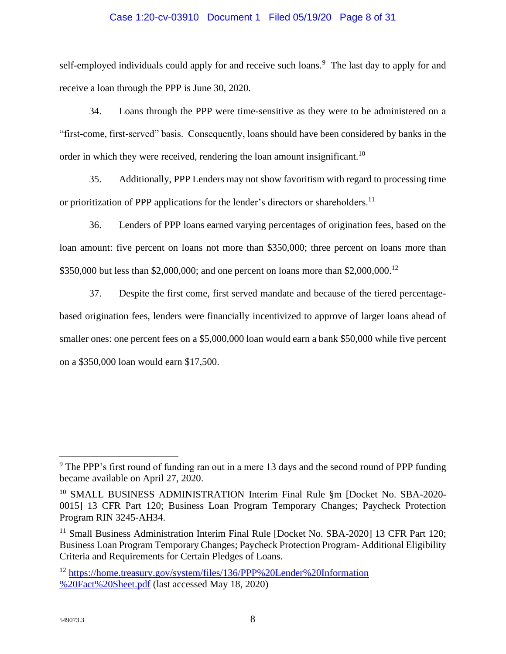### Case 1:20-cv-03910 Document 1 Filed 05/19/20 Page 8 of 31

self-employed individuals could apply for and receive such loans.<sup>9</sup> The last day to apply for and receive a loan through the PPP is June 30, 2020.

34. Loans through the PPP were time-sensitive as they were to be administered on a "first-come, first-served" basis. Consequently, loans should have been considered by banks in the order in which they were received, rendering the loan amount insignificant.<sup>10</sup>

35. Additionally, PPP Lenders may not show favoritism with regard to processing time or prioritization of PPP applications for the lender's directors or shareholders.<sup>11</sup>

36. Lenders of PPP loans earned varying percentages of origination fees, based on the loan amount: five percent on loans not more than \$350,000; three percent on loans more than \$350,000 but less than \$2,000,000; and one percent on loans more than \$2,000,000.<sup>12</sup>

37. Despite the first come, first served mandate and because of the tiered percentagebased origination fees, lenders were financially incentivized to approve of larger loans ahead of smaller ones: one percent fees on a \$5,000,000 loan would earn a bank \$50,000 while five percent on a \$350,000 loan would earn \$17,500.

 $9$  The PPP's first round of funding ran out in a mere 13 days and the second round of PPP funding became available on April 27, 2020.

<sup>&</sup>lt;sup>10</sup> SMALL BUSINESS ADMINISTRATION Interim Final Rule §m [Docket No. SBA-2020-0015] 13 CFR Part 120; Business Loan Program Temporary Changes; Paycheck Protection Program RIN 3245-AH34.

<sup>&</sup>lt;sup>11</sup> Small Business Administration Interim Final Rule [Docket No. SBA-2020] 13 CFR Part 120; Business Loan Program Temporary Changes; Paycheck Protection Program- Additional Eligibility Criteria and Requirements for Certain Pledges of Loans.

<sup>12</sup> [https://home.treasury.gov/system/files/136/PPP%20Lender%20Information](https://home.treasury.gov/system/files/136/PPP%20Lender%20Information%20%20Fact%20Sheet.pdf)  [%20Fact%20Sheet.pdf](https://home.treasury.gov/system/files/136/PPP%20Lender%20Information%20%20Fact%20Sheet.pdf) (last accessed May 18, 2020)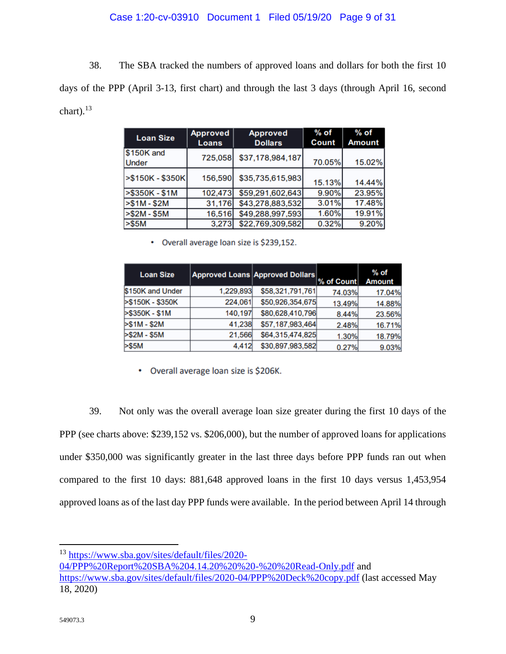## Case 1:20-cv-03910 Document 1 Filed 05/19/20 Page 9 of 31

38. The SBA tracked the numbers of approved loans and dollars for both the first 10 days of the PPP (April 3-13, first chart) and through the last 3 days (through April 16, second chart). $^{13}$ 

| <b>Loan Size</b>    | <b>Approved</b><br><b>Loans</b> | <b>Approved</b><br><b>Dollars</b> | $%$ of<br>Count | % of<br><b>Amount</b> |
|---------------------|---------------------------------|-----------------------------------|-----------------|-----------------------|
| \$150K and<br>Under | 725,058                         | \$37,178,984,187                  | 70.05%          | 15.02%                |
| $> $150K - $350K$   | 156,590                         | \$35,735,615,983                  | 15.13%          | 14.44%                |
| >\$350K - \$1M      | 102,473                         | \$59,291,602,643                  | 9.90%           | 23.95%                |
| $> $1M - $2M$       | 31,176                          | \$43,278,883,532                  | 3.01%           | 17.48%                |
| $> $2M - $5M$       | 16,516                          | \$49,288,997,593                  | 1.60%           | 19.91%                |
| > \$5M              | 3,273                           | \$22,769,309,582                  | 0.32%           | 9.20%                 |

• Overall average loan size is \$239,152.

| <b>Loan Size</b> |           | <b>Approved Loans Approved Dollars</b> | % of Count | $%$ of<br><b>Amount</b> |
|------------------|-----------|----------------------------------------|------------|-------------------------|
| \$150K and Under | 1,229,893 | \$58,321,791,761                       | 74.03%     | 17.04%                  |
| >\$150K - \$350K | 224,061   | \$50,926,354,675                       | 13.49%     | 14.88%                  |
| >\$350K - \$1M   | 140,197   | \$80,628,410,796                       | 8.44%      | 23.56%                  |
| $> $1M - $2M$    | 41.238    | \$57,187,983,464                       | 2.48%      | 16.71%                  |
| $> $2M - $5M$    | 21,566    | \$64,315,474,825                       | 1.30%      | 18.79%                  |
| > \$5M           | 4.412     | \$30,897,983,582                       | 0.27%      | 9.03%                   |

• Overall average loan size is \$206K.

39. Not only was the overall average loan size greater during the first 10 days of the PPP (see charts above: \$239,152 vs. \$206,000), but the number of approved loans for applications under \$350,000 was significantly greater in the last three days before PPP funds ran out when compared to the first 10 days: 881,648 approved loans in the first 10 days versus 1,453,954 approved loans as of the last day PPP funds were available. In the period between April 14 through

<sup>13</sup> [https://www.sba.gov/sites/default/files/2020-](https://www.sba.gov/sites/default/files/2020-04/PPP%20Report%20SBA%204.14.20%20%20-%20%20Read-Only.pdf)

[04/PPP%20Report%20SBA%204.14.20%20%20-%20%20Read-Only.pdf](https://www.sba.gov/sites/default/files/2020-04/PPP%20Report%20SBA%204.14.20%20%20-%20%20Read-Only.pdf) and <https://www.sba.gov/sites/default/files/2020-04/PPP%20Deck%20copy.pdf> (last accessed May 18, 2020)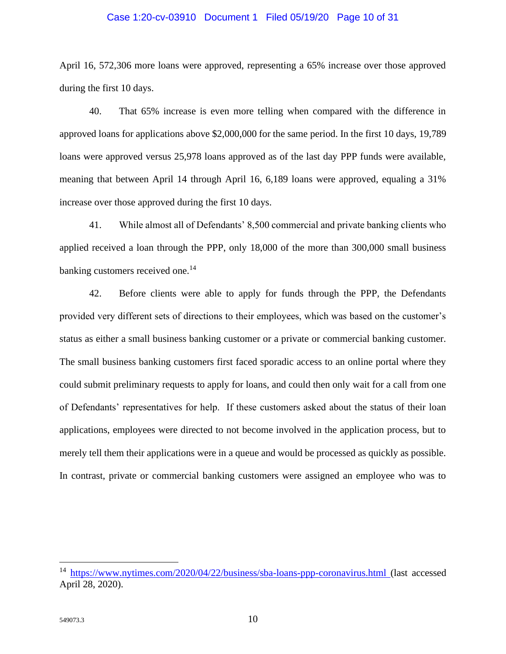#### Case 1:20-cv-03910 Document 1 Filed 05/19/20 Page 10 of 31

April 16, 572,306 more loans were approved, representing a 65% increase over those approved during the first 10 days.

40. That 65% increase is even more telling when compared with the difference in approved loans for applications above \$2,000,000 for the same period. In the first 10 days, 19,789 loans were approved versus 25,978 loans approved as of the last day PPP funds were available, meaning that between April 14 through April 16, 6,189 loans were approved, equaling a 31% increase over those approved during the first 10 days.

41. While almost all of Defendants' 8,500 commercial and private banking clients who applied received a loan through the PPP, only 18,000 of the more than 300,000 small business banking customers received one.<sup>14</sup>

42. Before clients were able to apply for funds through the PPP, the Defendants provided very different sets of directions to their employees, which was based on the customer's status as either a small business banking customer or a private or commercial banking customer. The small business banking customers first faced sporadic access to an online portal where they could submit preliminary requests to apply for loans, and could then only wait for a call from one of Defendants' representatives for help. If these customers asked about the status of their loan applications, employees were directed to not become involved in the application process, but to merely tell them their applications were in a queue and would be processed as quickly as possible. In contrast, private or commercial banking customers were assigned an employee who was to

<sup>&</sup>lt;sup>14</sup> <https://www.nytimes.com/2020/04/22/business/sba-loans-ppp-coronavirus.html> (last accessed April 28, 2020).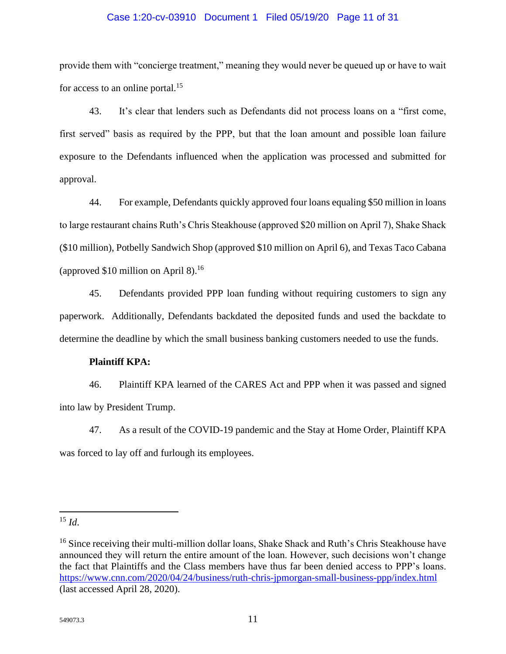# Case 1:20-cv-03910 Document 1 Filed 05/19/20 Page 11 of 31

provide them with "concierge treatment," meaning they would never be queued up or have to wait for access to an online portal.<sup>15</sup>

43. It's clear that lenders such as Defendants did not process loans on a "first come, first served" basis as required by the PPP, but that the loan amount and possible loan failure exposure to the Defendants influenced when the application was processed and submitted for approval.

44. For example, Defendants quickly approved four loans equaling \$50 million in loans to large restaurant chains Ruth's Chris Steakhouse (approved \$20 million on April 7), Shake Shack (\$10 million), Potbelly Sandwich Shop (approved \$10 million on April 6), and Texas Taco Cabana (approved \$10 million on April 8). $^{16}$ 

45. Defendants provided PPP loan funding without requiring customers to sign any paperwork. Additionally, Defendants backdated the deposited funds and used the backdate to determine the deadline by which the small business banking customers needed to use the funds.

## **Plaintiff KPA:**

46. Plaintiff KPA learned of the CARES Act and PPP when it was passed and signed into law by President Trump.

47. As a result of the COVID-19 pandemic and the Stay at Home Order, Plaintiff KPA was forced to lay off and furlough its employees.

<sup>15</sup> *Id*.

<sup>&</sup>lt;sup>16</sup> Since receiving their multi-million dollar loans, Shake Shack and Ruth's Chris Steakhouse have announced they will return the entire amount of the loan. However, such decisions won't change the fact that Plaintiffs and the Class members have thus far been denied access to PPP's loans. <https://www.cnn.com/2020/04/24/business/ruth-chris-jpmorgan-small-business-ppp/index.html> (last accessed April 28, 2020).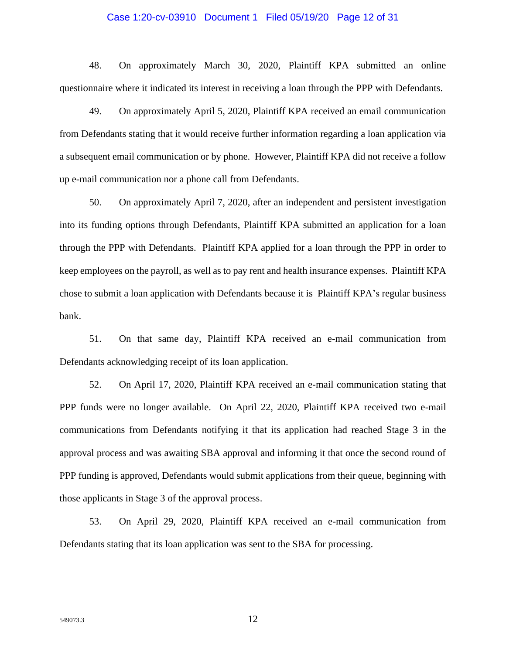#### Case 1:20-cv-03910 Document 1 Filed 05/19/20 Page 12 of 31

48. On approximately March 30, 2020, Plaintiff KPA submitted an online questionnaire where it indicated its interest in receiving a loan through the PPP with Defendants.

49. On approximately April 5, 2020, Plaintiff KPA received an email communication from Defendants stating that it would receive further information regarding a loan application via a subsequent email communication or by phone. However, Plaintiff KPA did not receive a follow up e-mail communication nor a phone call from Defendants.

50. On approximately April 7, 2020, after an independent and persistent investigation into its funding options through Defendants, Plaintiff KPA submitted an application for a loan through the PPP with Defendants. Plaintiff KPA applied for a loan through the PPP in order to keep employees on the payroll, as well as to pay rent and health insurance expenses. Plaintiff KPA chose to submit a loan application with Defendants because it is Plaintiff KPA's regular business bank.

51. On that same day, Plaintiff KPA received an e-mail communication from Defendants acknowledging receipt of its loan application.

52. On April 17, 2020, Plaintiff KPA received an e-mail communication stating that PPP funds were no longer available. On April 22, 2020, Plaintiff KPA received two e-mail communications from Defendants notifying it that its application had reached Stage 3 in the approval process and was awaiting SBA approval and informing it that once the second round of PPP funding is approved, Defendants would submit applications from their queue, beginning with those applicants in Stage 3 of the approval process.

53. On April 29, 2020, Plaintiff KPA received an e-mail communication from Defendants stating that its loan application was sent to the SBA for processing.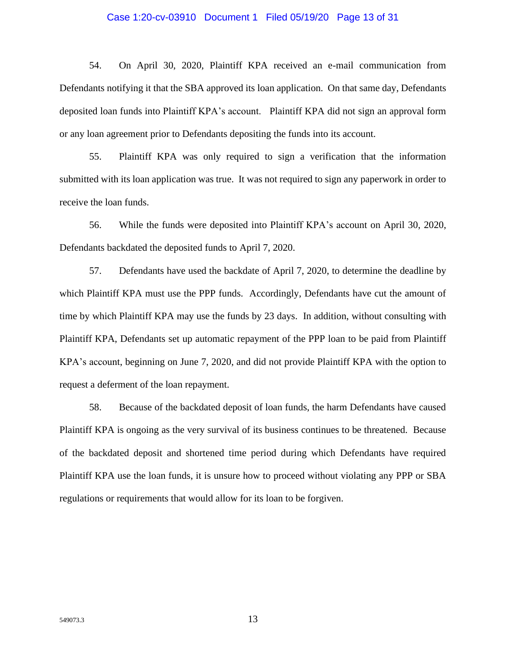#### Case 1:20-cv-03910 Document 1 Filed 05/19/20 Page 13 of 31

54. On April 30, 2020, Plaintiff KPA received an e-mail communication from Defendants notifying it that the SBA approved its loan application. On that same day, Defendants deposited loan funds into Plaintiff KPA's account. Plaintiff KPA did not sign an approval form or any loan agreement prior to Defendants depositing the funds into its account.

55. Plaintiff KPA was only required to sign a verification that the information submitted with its loan application was true. It was not required to sign any paperwork in order to receive the loan funds.

56. While the funds were deposited into Plaintiff KPA's account on April 30, 2020, Defendants backdated the deposited funds to April 7, 2020.

57. Defendants have used the backdate of April 7, 2020, to determine the deadline by which Plaintiff KPA must use the PPP funds. Accordingly, Defendants have cut the amount of time by which Plaintiff KPA may use the funds by 23 days. In addition, without consulting with Plaintiff KPA, Defendants set up automatic repayment of the PPP loan to be paid from Plaintiff KPA's account, beginning on June 7, 2020, and did not provide Plaintiff KPA with the option to request a deferment of the loan repayment.

58. Because of the backdated deposit of loan funds, the harm Defendants have caused Plaintiff KPA is ongoing as the very survival of its business continues to be threatened. Because of the backdated deposit and shortened time period during which Defendants have required Plaintiff KPA use the loan funds, it is unsure how to proceed without violating any PPP or SBA regulations or requirements that would allow for its loan to be forgiven.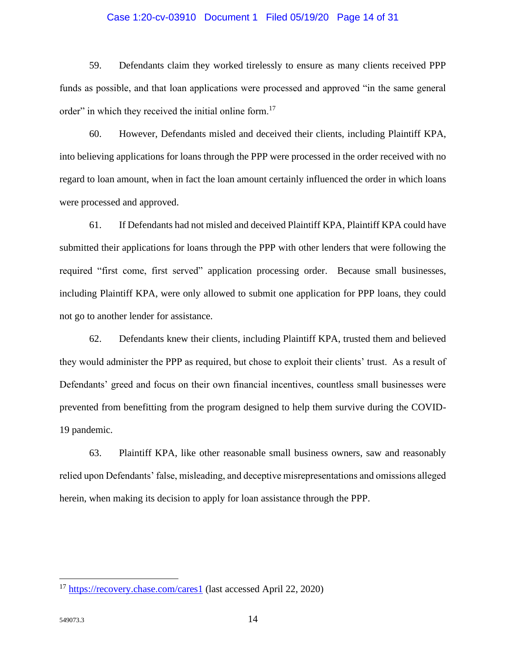#### Case 1:20-cv-03910 Document 1 Filed 05/19/20 Page 14 of 31

59. Defendants claim they worked tirelessly to ensure as many clients received PPP funds as possible, and that loan applications were processed and approved "in the same general order" in which they received the initial online form.<sup>17</sup>

60. However, Defendants misled and deceived their clients, including Plaintiff KPA, into believing applications for loans through the PPP were processed in the order received with no regard to loan amount, when in fact the loan amount certainly influenced the order in which loans were processed and approved.

61. If Defendants had not misled and deceived Plaintiff KPA, Plaintiff KPA could have submitted their applications for loans through the PPP with other lenders that were following the required "first come, first served" application processing order. Because small businesses, including Plaintiff KPA, were only allowed to submit one application for PPP loans, they could not go to another lender for assistance.

62. Defendants knew their clients, including Plaintiff KPA, trusted them and believed they would administer the PPP as required, but chose to exploit their clients' trust. As a result of Defendants' greed and focus on their own financial incentives, countless small businesses were prevented from benefitting from the program designed to help them survive during the COVID-19 pandemic.

63. Plaintiff KPA, like other reasonable small business owners, saw and reasonably relied upon Defendants' false, misleading, and deceptive misrepresentations and omissions alleged herein, when making its decision to apply for loan assistance through the PPP.

<sup>&</sup>lt;sup>17</sup> <https://recovery.chase.com/cares1> (last accessed April 22, 2020)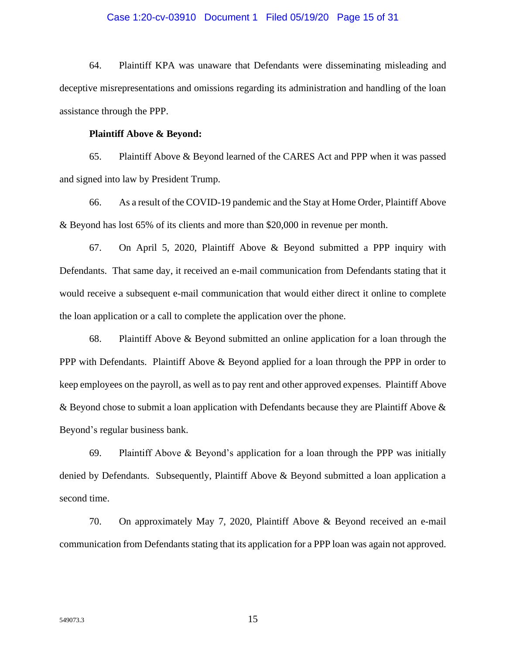#### Case 1:20-cv-03910 Document 1 Filed 05/19/20 Page 15 of 31

64. Plaintiff KPA was unaware that Defendants were disseminating misleading and deceptive misrepresentations and omissions regarding its administration and handling of the loan assistance through the PPP.

#### **Plaintiff Above & Beyond:**

65. Plaintiff Above & Beyond learned of the CARES Act and PPP when it was passed and signed into law by President Trump.

66. As a result of the COVID-19 pandemic and the Stay at Home Order, Plaintiff Above & Beyond has lost 65% of its clients and more than \$20,000 in revenue per month.

67. On April 5, 2020, Plaintiff Above & Beyond submitted a PPP inquiry with Defendants. That same day, it received an e-mail communication from Defendants stating that it would receive a subsequent e-mail communication that would either direct it online to complete the loan application or a call to complete the application over the phone.

68. Plaintiff Above & Beyond submitted an online application for a loan through the PPP with Defendants. Plaintiff Above & Beyond applied for a loan through the PPP in order to keep employees on the payroll, as well as to pay rent and other approved expenses. Plaintiff Above & Beyond chose to submit a loan application with Defendants because they are Plaintiff Above & Beyond's regular business bank.

69. Plaintiff Above & Beyond's application for a loan through the PPP was initially denied by Defendants. Subsequently, Plaintiff Above & Beyond submitted a loan application a second time.

70. On approximately May 7, 2020, Plaintiff Above & Beyond received an e-mail communication from Defendants stating that its application for a PPP loan was again not approved.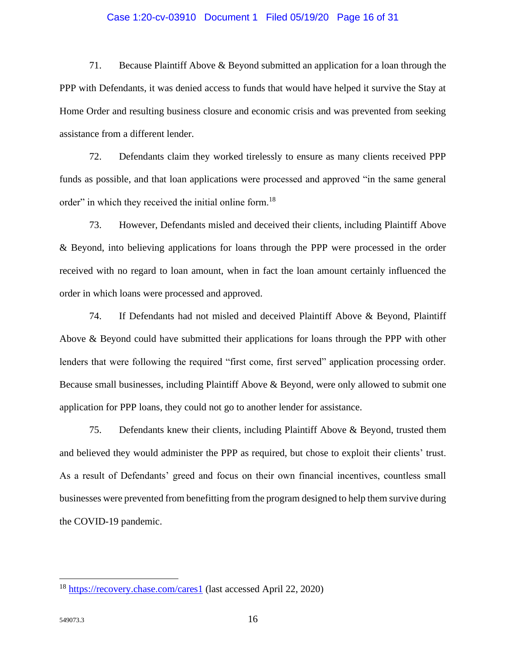#### Case 1:20-cv-03910 Document 1 Filed 05/19/20 Page 16 of 31

71. Because Plaintiff Above & Beyond submitted an application for a loan through the PPP with Defendants, it was denied access to funds that would have helped it survive the Stay at Home Order and resulting business closure and economic crisis and was prevented from seeking assistance from a different lender.

72. Defendants claim they worked tirelessly to ensure as many clients received PPP funds as possible, and that loan applications were processed and approved "in the same general order" in which they received the initial online form.<sup>18</sup>

73. However, Defendants misled and deceived their clients, including Plaintiff Above & Beyond, into believing applications for loans through the PPP were processed in the order received with no regard to loan amount, when in fact the loan amount certainly influenced the order in which loans were processed and approved.

74. If Defendants had not misled and deceived Plaintiff Above & Beyond, Plaintiff Above & Beyond could have submitted their applications for loans through the PPP with other lenders that were following the required "first come, first served" application processing order. Because small businesses, including Plaintiff Above & Beyond, were only allowed to submit one application for PPP loans, they could not go to another lender for assistance.

75. Defendants knew their clients, including Plaintiff Above & Beyond, trusted them and believed they would administer the PPP as required, but chose to exploit their clients' trust. As a result of Defendants' greed and focus on their own financial incentives, countless small businesses were prevented from benefitting from the program designed to help them survive during the COVID-19 pandemic.

<sup>18</sup> <https://recovery.chase.com/cares1> (last accessed April 22, 2020)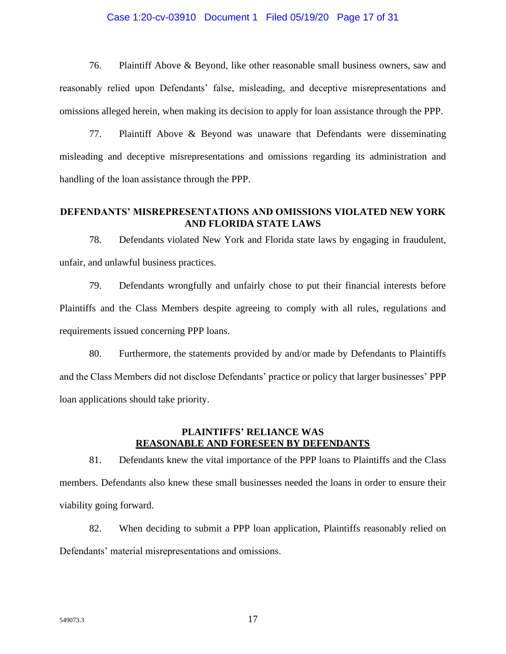#### Case 1:20-cv-03910 Document 1 Filed 05/19/20 Page 17 of 31

76. Plaintiff Above & Beyond, like other reasonable small business owners, saw and reasonably relied upon Defendants' false, misleading, and deceptive misrepresentations and omissions alleged herein, when making its decision to apply for loan assistance through the PPP.

77. Plaintiff Above & Beyond was unaware that Defendants were disseminating misleading and deceptive misrepresentations and omissions regarding its administration and handling of the loan assistance through the PPP.

### **DEFENDANTS' MISREPRESENTATIONS AND OMISSIONS VIOLATED NEW YORK AND FLORIDA STATE LAWS**

78. Defendants violated New York and Florida state laws by engaging in fraudulent, unfair, and unlawful business practices.

79. Defendants wrongfully and unfairly chose to put their financial interests before Plaintiffs and the Class Members despite agreeing to comply with all rules, regulations and requirements issued concerning PPP loans.

80. Furthermore, the statements provided by and/or made by Defendants to Plaintiffs and the Class Members did not disclose Defendants' practice or policy that larger businesses' PPP loan applications should take priority.

## **PLAINTIFFS' RELIANCE WAS REASONABLE AND FORESEEN BY DEFENDANTS**

81. Defendants knew the vital importance of the PPP loans to Plaintiffs and the Class members. Defendants also knew these small businesses needed the loans in order to ensure their viability going forward.

82. When deciding to submit a PPP loan application, Plaintiffs reasonably relied on Defendants' material misrepresentations and omissions.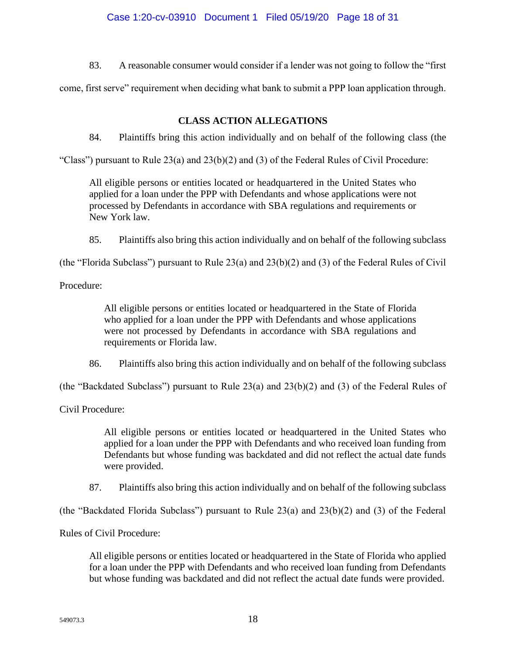83. A reasonable consumer would consider if a lender was not going to follow the "first

come, first serve" requirement when deciding what bank to submit a PPP loan application through.

# **CLASS ACTION ALLEGATIONS**

84. Plaintiffs bring this action individually and on behalf of the following class (the

"Class") pursuant to Rule  $23(a)$  and  $23(b)(2)$  and  $(3)$  of the Federal Rules of Civil Procedure:

All eligible persons or entities located or headquartered in the United States who applied for a loan under the PPP with Defendants and whose applications were not processed by Defendants in accordance with SBA regulations and requirements or New York law.

85. Plaintiffs also bring this action individually and on behalf of the following subclass

(the "Florida Subclass") pursuant to Rule 23(a) and 23(b)(2) and (3) of the Federal Rules of Civil

Procedure:

All eligible persons or entities located or headquartered in the State of Florida who applied for a loan under the PPP with Defendants and whose applications were not processed by Defendants in accordance with SBA regulations and requirements or Florida law.

86. Plaintiffs also bring this action individually and on behalf of the following subclass

(the "Backdated Subclass") pursuant to Rule 23(a) and 23(b)(2) and (3) of the Federal Rules of

Civil Procedure:

All eligible persons or entities located or headquartered in the United States who applied for a loan under the PPP with Defendants and who received loan funding from Defendants but whose funding was backdated and did not reflect the actual date funds were provided.

87. Plaintiffs also bring this action individually and on behalf of the following subclass

(the "Backdated Florida Subclass") pursuant to Rule 23(a) and 23(b)(2) and (3) of the Federal

Rules of Civil Procedure:

All eligible persons or entities located or headquartered in the State of Florida who applied for a loan under the PPP with Defendants and who received loan funding from Defendants but whose funding was backdated and did not reflect the actual date funds were provided.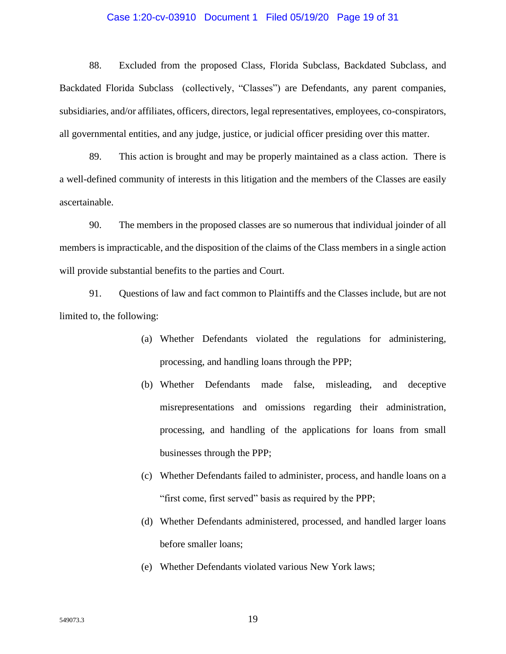#### Case 1:20-cv-03910 Document 1 Filed 05/19/20 Page 19 of 31

88. Excluded from the proposed Class, Florida Subclass, Backdated Subclass, and Backdated Florida Subclass (collectively, "Classes") are Defendants, any parent companies, subsidiaries, and/or affiliates, officers, directors, legal representatives, employees, co-conspirators, all governmental entities, and any judge, justice, or judicial officer presiding over this matter.

89. This action is brought and may be properly maintained as a class action. There is a well-defined community of interests in this litigation and the members of the Classes are easily ascertainable.

90. The members in the proposed classes are so numerous that individual joinder of all members is impracticable, and the disposition of the claims of the Class members in a single action will provide substantial benefits to the parties and Court.

91. Questions of law and fact common to Plaintiffs and the Classes include, but are not limited to, the following:

- (a) Whether Defendants violated the regulations for administering, processing, and handling loans through the PPP;
- (b) Whether Defendants made false, misleading, and deceptive misrepresentations and omissions regarding their administration, processing, and handling of the applications for loans from small businesses through the PPP;
- (c) Whether Defendants failed to administer, process, and handle loans on a "first come, first served" basis as required by the PPP;
- (d) Whether Defendants administered, processed, and handled larger loans before smaller loans;
- (e) Whether Defendants violated various New York laws;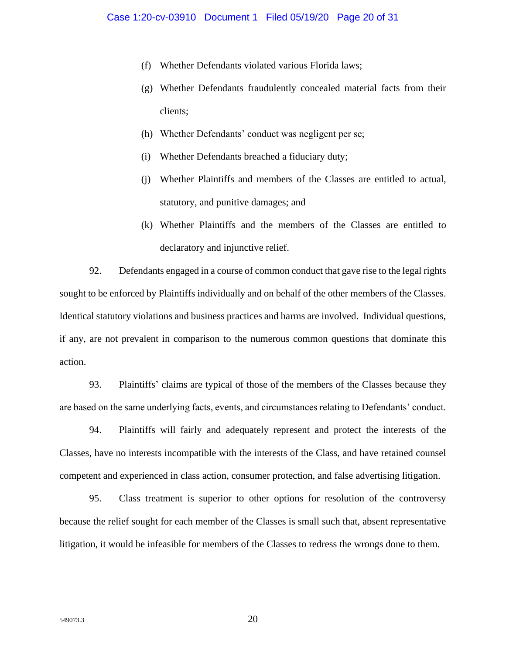- (f) Whether Defendants violated various Florida laws;
- (g) Whether Defendants fraudulently concealed material facts from their clients;
- (h) Whether Defendants' conduct was negligent per se;
- (i) Whether Defendants breached a fiduciary duty;
- (j) Whether Plaintiffs and members of the Classes are entitled to actual, statutory, and punitive damages; and
- (k) Whether Plaintiffs and the members of the Classes are entitled to declaratory and injunctive relief.

92. Defendants engaged in a course of common conduct that gave rise to the legal rights sought to be enforced by Plaintiffs individually and on behalf of the other members of the Classes. Identical statutory violations and business practices and harms are involved. Individual questions, if any, are not prevalent in comparison to the numerous common questions that dominate this action.

93. Plaintiffs' claims are typical of those of the members of the Classes because they are based on the same underlying facts, events, and circumstances relating to Defendants' conduct.

94. Plaintiffs will fairly and adequately represent and protect the interests of the Classes, have no interests incompatible with the interests of the Class, and have retained counsel competent and experienced in class action, consumer protection, and false advertising litigation.

95. Class treatment is superior to other options for resolution of the controversy because the relief sought for each member of the Classes is small such that, absent representative litigation, it would be infeasible for members of the Classes to redress the wrongs done to them.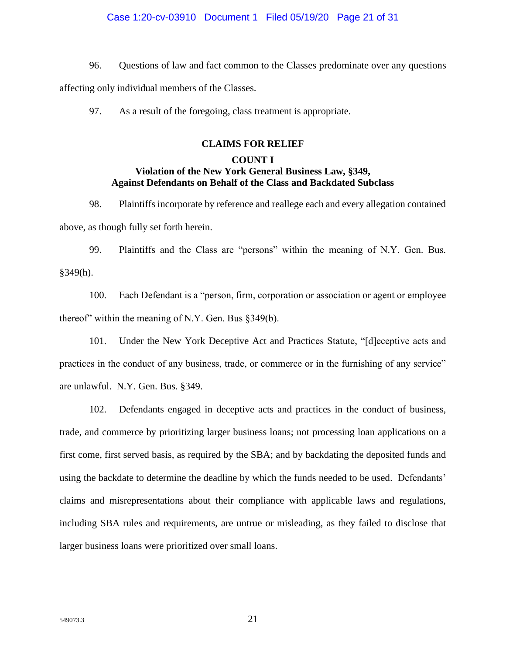### Case 1:20-cv-03910 Document 1 Filed 05/19/20 Page 21 of 31

- 96. Questions of law and fact common to the Classes predominate over any questions affecting only individual members of the Classes.
	- 97. As a result of the foregoing, class treatment is appropriate.

### **CLAIMS FOR RELIEF**

## **COUNT I Violation of the New York General Business Law, §349, Against Defendants on Behalf of the Class and Backdated Subclass**

98. Plaintiffs incorporate by reference and reallege each and every allegation contained above, as though fully set forth herein.

99. Plaintiffs and the Class are "persons" within the meaning of N.Y. Gen. Bus. §349(h).

100. Each Defendant is a "person, firm, corporation or association or agent or employee thereof" within the meaning of N.Y. Gen. Bus §349(b).

101. Under the New York Deceptive Act and Practices Statute, "[d]eceptive acts and practices in the conduct of any business, trade, or commerce or in the furnishing of any service" are unlawful. N.Y. Gen. Bus. §349.

102. Defendants engaged in deceptive acts and practices in the conduct of business, trade, and commerce by prioritizing larger business loans; not processing loan applications on a first come, first served basis, as required by the SBA; and by backdating the deposited funds and using the backdate to determine the deadline by which the funds needed to be used. Defendants' claims and misrepresentations about their compliance with applicable laws and regulations, including SBA rules and requirements, are untrue or misleading, as they failed to disclose that larger business loans were prioritized over small loans.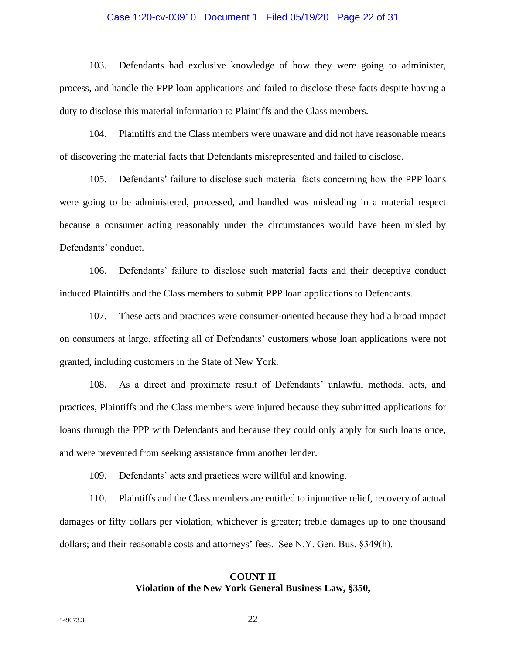#### Case 1:20-cv-03910 Document 1 Filed 05/19/20 Page 22 of 31

103. Defendants had exclusive knowledge of how they were going to administer, process, and handle the PPP loan applications and failed to disclose these facts despite having a duty to disclose this material information to Plaintiffs and the Class members.

104. Plaintiffs and the Class members were unaware and did not have reasonable means of discovering the material facts that Defendants misrepresented and failed to disclose.

105. Defendants' failure to disclose such material facts concerning how the PPP loans were going to be administered, processed, and handled was misleading in a material respect because a consumer acting reasonably under the circumstances would have been misled by Defendants' conduct.

106. Defendants' failure to disclose such material facts and their deceptive conduct induced Plaintiffs and the Class members to submit PPP loan applications to Defendants.

107. These acts and practices were consumer-oriented because they had a broad impact on consumers at large, affecting all of Defendants' customers whose loan applications were not granted, including customers in the State of New York.

108. As a direct and proximate result of Defendants' unlawful methods, acts, and practices, Plaintiffs and the Class members were injured because they submitted applications for loans through the PPP with Defendants and because they could only apply for such loans once, and were prevented from seeking assistance from another lender.

109. Defendants' acts and practices were willful and knowing.

110. Plaintiffs and the Class members are entitled to injunctive relief, recovery of actual damages or fifty dollars per violation, whichever is greater; treble damages up to one thousand dollars; and their reasonable costs and attorneys' fees. See N.Y. Gen. Bus. §349(h).

## **COUNT II Violation of the New York General Business Law, §350,**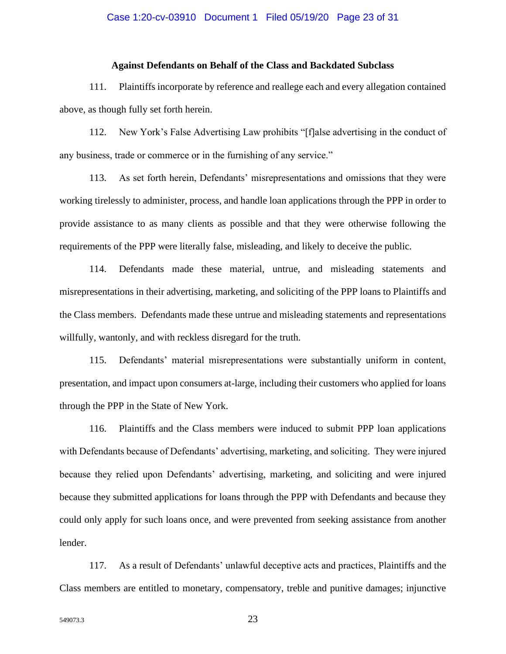#### Case 1:20-cv-03910 Document 1 Filed 05/19/20 Page 23 of 31

#### **Against Defendants on Behalf of the Class and Backdated Subclass**

111. Plaintiffs incorporate by reference and reallege each and every allegation contained above, as though fully set forth herein.

112. New York's False Advertising Law prohibits "[f]alse advertising in the conduct of any business, trade or commerce or in the furnishing of any service."

113. As set forth herein, Defendants' misrepresentations and omissions that they were working tirelessly to administer, process, and handle loan applications through the PPP in order to provide assistance to as many clients as possible and that they were otherwise following the requirements of the PPP were literally false, misleading, and likely to deceive the public.

114. Defendants made these material, untrue, and misleading statements and misrepresentations in their advertising, marketing, and soliciting of the PPP loans to Plaintiffs and the Class members. Defendants made these untrue and misleading statements and representations willfully, wantonly, and with reckless disregard for the truth.

115. Defendants' material misrepresentations were substantially uniform in content, presentation, and impact upon consumers at-large, including their customers who applied for loans through the PPP in the State of New York.

116. Plaintiffs and the Class members were induced to submit PPP loan applications with Defendants because of Defendants' advertising, marketing, and soliciting. They were injured because they relied upon Defendants' advertising, marketing, and soliciting and were injured because they submitted applications for loans through the PPP with Defendants and because they could only apply for such loans once, and were prevented from seeking assistance from another lender.

117. As a result of Defendants' unlawful deceptive acts and practices, Plaintiffs and the Class members are entitled to monetary, compensatory, treble and punitive damages; injunctive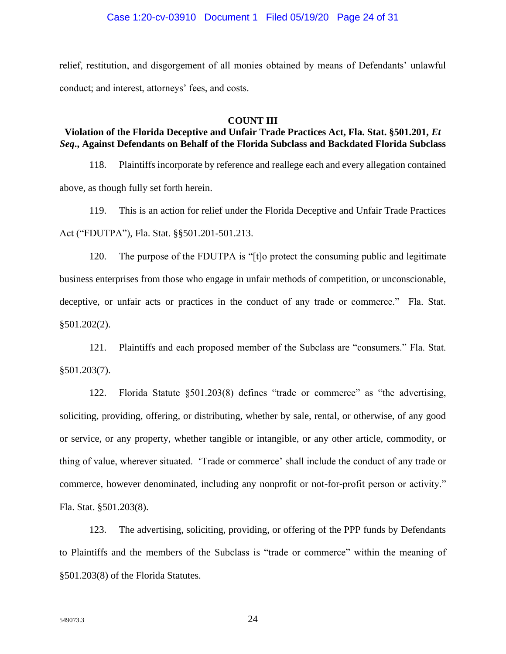relief, restitution, and disgorgement of all monies obtained by means of Defendants' unlawful conduct; and interest, attorneys' fees, and costs.

### **COUNT III**

## **Violation of the Florida Deceptive and Unfair Trade Practices Act, Fla. Stat. §501.201,** *Et Seq***., Against Defendants on Behalf of the Florida Subclass and Backdated Florida Subclass**

118. Plaintiffs incorporate by reference and reallege each and every allegation contained above, as though fully set forth herein.

119. This is an action for relief under the Florida Deceptive and Unfair Trade Practices Act ("FDUTPA"), Fla. Stat. §§501.201-501.213.

120. The purpose of the FDUTPA is "[t]o protect the consuming public and legitimate business enterprises from those who engage in unfair methods of competition, or unconscionable, deceptive, or unfair acts or practices in the conduct of any trade or commerce." Fla. Stat. §501.202(2).

121. Plaintiffs and each proposed member of the Subclass are "consumers." Fla. Stat. §501.203(7).

122. Florida Statute §501.203(8) defines "trade or commerce" as "the advertising, soliciting, providing, offering, or distributing, whether by sale, rental, or otherwise, of any good or service, or any property, whether tangible or intangible, or any other article, commodity, or thing of value, wherever situated. 'Trade or commerce' shall include the conduct of any trade or commerce, however denominated, including any nonprofit or not-for-profit person or activity." Fla. Stat. §501.203(8).

123. The advertising, soliciting, providing, or offering of the PPP funds by Defendants to Plaintiffs and the members of the Subclass is "trade or commerce" within the meaning of §501.203(8) of the Florida Statutes.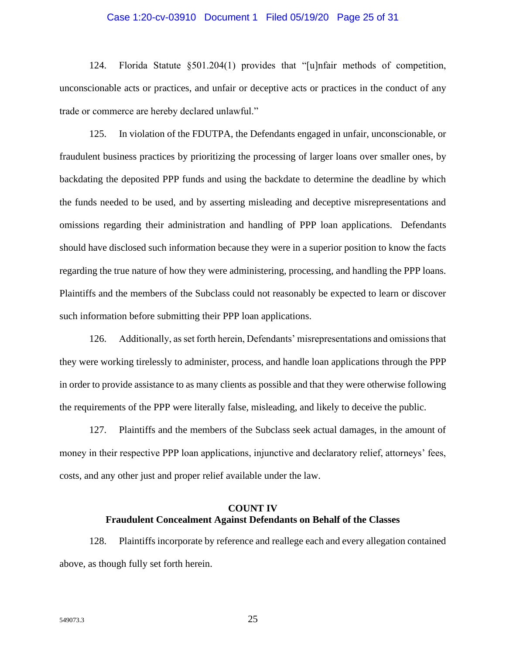#### Case 1:20-cv-03910 Document 1 Filed 05/19/20 Page 25 of 31

124. Florida Statute §501.204(1) provides that "[u]nfair methods of competition, unconscionable acts or practices, and unfair or deceptive acts or practices in the conduct of any trade or commerce are hereby declared unlawful."

125. In violation of the FDUTPA, the Defendants engaged in unfair, unconscionable, or fraudulent business practices by prioritizing the processing of larger loans over smaller ones, by backdating the deposited PPP funds and using the backdate to determine the deadline by which the funds needed to be used, and by asserting misleading and deceptive misrepresentations and omissions regarding their administration and handling of PPP loan applications. Defendants should have disclosed such information because they were in a superior position to know the facts regarding the true nature of how they were administering, processing, and handling the PPP loans. Plaintiffs and the members of the Subclass could not reasonably be expected to learn or discover such information before submitting their PPP loan applications.

126. Additionally, as set forth herein, Defendants' misrepresentations and omissions that they were working tirelessly to administer, process, and handle loan applications through the PPP in order to provide assistance to as many clients as possible and that they were otherwise following the requirements of the PPP were literally false, misleading, and likely to deceive the public.

127. Plaintiffs and the members of the Subclass seek actual damages, in the amount of money in their respective PPP loan applications, injunctive and declaratory relief, attorneys' fees, costs, and any other just and proper relief available under the law.

## **COUNT IV Fraudulent Concealment Against Defendants on Behalf of the Classes**

128. Plaintiffs incorporate by reference and reallege each and every allegation contained above, as though fully set forth herein.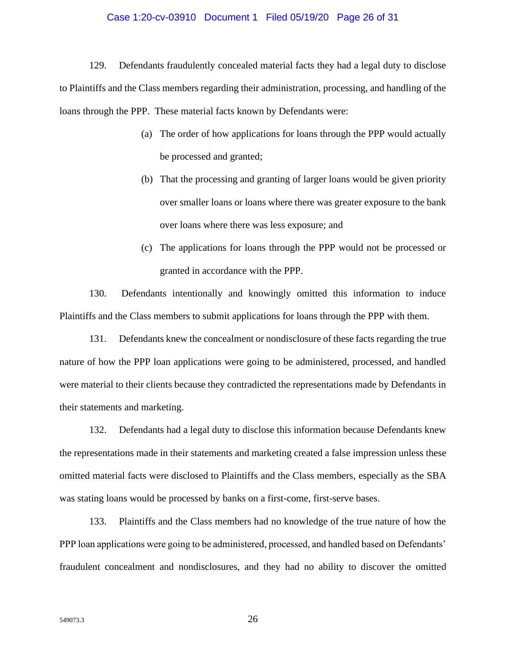#### Case 1:20-cv-03910 Document 1 Filed 05/19/20 Page 26 of 31

129. Defendants fraudulently concealed material facts they had a legal duty to disclose to Plaintiffs and the Class members regarding their administration, processing, and handling of the loans through the PPP. These material facts known by Defendants were:

- (a) The order of how applications for loans through the PPP would actually be processed and granted;
- (b) That the processing and granting of larger loans would be given priority over smaller loans or loans where there was greater exposure to the bank over loans where there was less exposure; and
- (c) The applications for loans through the PPP would not be processed or granted in accordance with the PPP.

130. Defendants intentionally and knowingly omitted this information to induce Plaintiffs and the Class members to submit applications for loans through the PPP with them.

131. Defendants knew the concealment or nondisclosure of these facts regarding the true nature of how the PPP loan applications were going to be administered, processed, and handled were material to their clients because they contradicted the representations made by Defendants in their statements and marketing.

132. Defendants had a legal duty to disclose this information because Defendants knew the representations made in their statements and marketing created a false impression unless these omitted material facts were disclosed to Plaintiffs and the Class members, especially as the SBA was stating loans would be processed by banks on a first-come, first-serve bases.

133. Plaintiffs and the Class members had no knowledge of the true nature of how the PPP loan applications were going to be administered, processed, and handled based on Defendants' fraudulent concealment and nondisclosures, and they had no ability to discover the omitted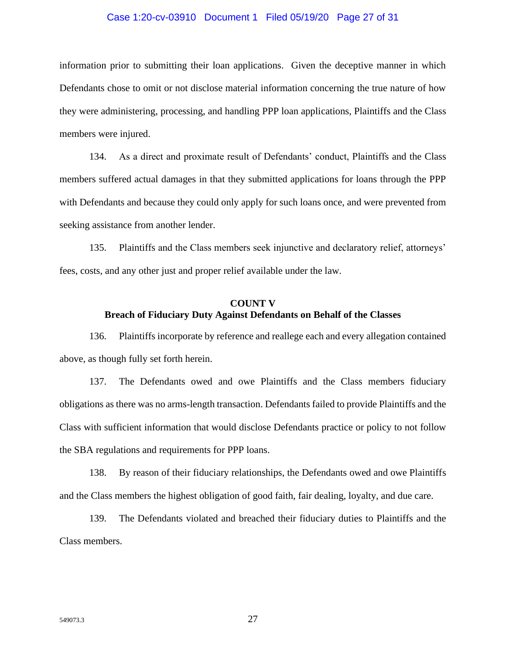#### Case 1:20-cv-03910 Document 1 Filed 05/19/20 Page 27 of 31

information prior to submitting their loan applications. Given the deceptive manner in which Defendants chose to omit or not disclose material information concerning the true nature of how they were administering, processing, and handling PPP loan applications, Plaintiffs and the Class members were injured.

134. As a direct and proximate result of Defendants' conduct, Plaintiffs and the Class members suffered actual damages in that they submitted applications for loans through the PPP with Defendants and because they could only apply for such loans once, and were prevented from seeking assistance from another lender.

135. Plaintiffs and the Class members seek injunctive and declaratory relief, attorneys' fees, costs, and any other just and proper relief available under the law.

## **COUNT V Breach of Fiduciary Duty Against Defendants on Behalf of the Classes**

136. Plaintiffs incorporate by reference and reallege each and every allegation contained above, as though fully set forth herein.

137. The Defendants owed and owe Plaintiffs and the Class members fiduciary obligations as there was no arms-length transaction. Defendants failed to provide Plaintiffs and the Class with sufficient information that would disclose Defendants practice or policy to not follow the SBA regulations and requirements for PPP loans.

138. By reason of their fiduciary relationships, the Defendants owed and owe Plaintiffs and the Class members the highest obligation of good faith, fair dealing, loyalty, and due care.

139. The Defendants violated and breached their fiduciary duties to Plaintiffs and the Class members.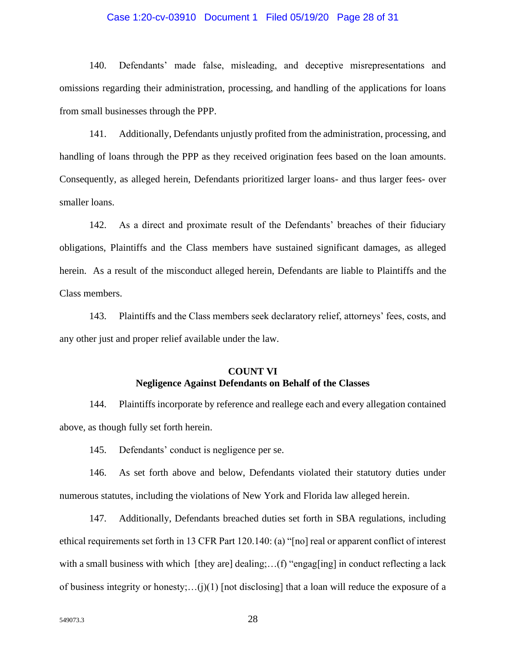#### Case 1:20-cv-03910 Document 1 Filed 05/19/20 Page 28 of 31

140. Defendants' made false, misleading, and deceptive misrepresentations and omissions regarding their administration, processing, and handling of the applications for loans from small businesses through the PPP.

141. Additionally, Defendants unjustly profited from the administration, processing, and handling of loans through the PPP as they received origination fees based on the loan amounts. Consequently, as alleged herein, Defendants prioritized larger loans- and thus larger fees- over smaller loans.

142. As a direct and proximate result of the Defendants' breaches of their fiduciary obligations, Plaintiffs and the Class members have sustained significant damages, as alleged herein. As a result of the misconduct alleged herein, Defendants are liable to Plaintiffs and the Class members.

143. Plaintiffs and the Class members seek declaratory relief, attorneys' fees, costs, and any other just and proper relief available under the law.

# **COUNT VI Negligence Against Defendants on Behalf of the Classes**

144. Plaintiffs incorporate by reference and reallege each and every allegation contained above, as though fully set forth herein.

145. Defendants' conduct is negligence per se.

146. As set forth above and below, Defendants violated their statutory duties under numerous statutes, including the violations of New York and Florida law alleged herein.

147. Additionally, Defendants breached duties set forth in SBA regulations, including ethical requirements set forth in 13 CFR Part 120.140: (a) "[no] real or apparent conflict of interest with a small business with which [they are] dealing;...(f) "engag[ing] in conduct reflecting a lack of business integrity or honesty;...(j)(1) [not disclosing] that a loan will reduce the exposure of a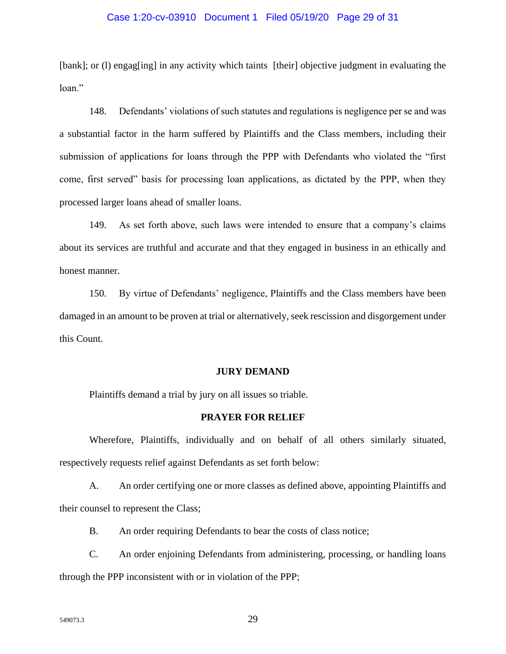#### Case 1:20-cv-03910 Document 1 Filed 05/19/20 Page 29 of 31

[bank]; or (1) engag[ing] in any activity which taints [their] objective judgment in evaluating the loan."

148. Defendants' violations of such statutes and regulations is negligence per se and was a substantial factor in the harm suffered by Plaintiffs and the Class members, including their submission of applications for loans through the PPP with Defendants who violated the "first come, first served" basis for processing loan applications, as dictated by the PPP, when they processed larger loans ahead of smaller loans.

149. As set forth above, such laws were intended to ensure that a company's claims about its services are truthful and accurate and that they engaged in business in an ethically and honest manner.

150. By virtue of Defendants' negligence, Plaintiffs and the Class members have been damaged in an amount to be proven at trial or alternatively, seek rescission and disgorgement under this Count.

#### **JURY DEMAND**

Plaintiffs demand a trial by jury on all issues so triable.

#### **PRAYER FOR RELIEF**

Wherefore, Plaintiffs, individually and on behalf of all others similarly situated, respectively requests relief against Defendants as set forth below:

A. An order certifying one or more classes as defined above, appointing Plaintiffs and their counsel to represent the Class;

B. An order requiring Defendants to bear the costs of class notice;

C. An order enjoining Defendants from administering, processing, or handling loans through the PPP inconsistent with or in violation of the PPP;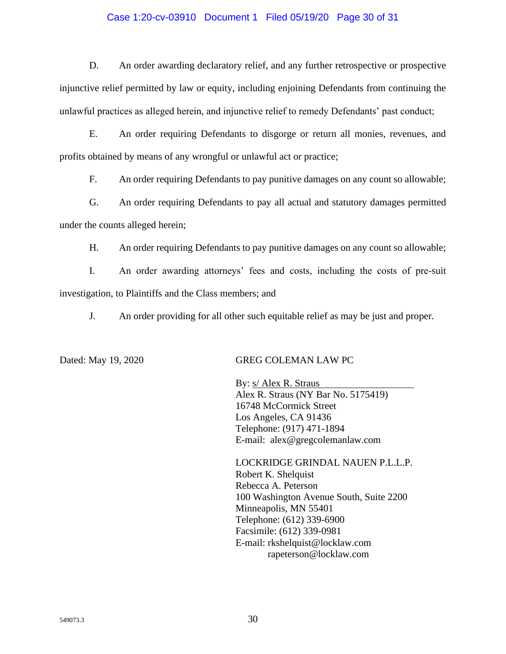### Case 1:20-cv-03910 Document 1 Filed 05/19/20 Page 30 of 31

D. An order awarding declaratory relief, and any further retrospective or prospective injunctive relief permitted by law or equity, including enjoining Defendants from continuing the unlawful practices as alleged herein, and injunctive relief to remedy Defendants' past conduct;

E. An order requiring Defendants to disgorge or return all monies, revenues, and profits obtained by means of any wrongful or unlawful act or practice;

F. An order requiring Defendants to pay punitive damages on any count so allowable;

G. An order requiring Defendants to pay all actual and statutory damages permitted under the counts alleged herein;

H. An order requiring Defendants to pay punitive damages on any count so allowable;

I. An order awarding attorneys' fees and costs, including the costs of pre-suit investigation, to Plaintiffs and the Class members; and

J. An order providing for all other such equitable relief as may be just and proper.

### Dated: May 19, 2020 GREG COLEMAN LAW PC

By: s/ Alex R. Straus Alex R. Straus (NY Bar No. 5175419) 16748 McCormick Street Los Angeles, CA 91436 Telephone: (917) 471-1894 E-mail: alex@gregcolemanlaw.com

LOCKRIDGE GRINDAL NAUEN P.L.L.P. Robert K. Shelquist Rebecca A. Peterson 100 Washington Avenue South, Suite 2200 Minneapolis, MN 55401 Telephone: (612) 339-6900 Facsimile: (612) 339-0981 E-mail: rkshelquist@locklaw.com rapeterson@locklaw.com